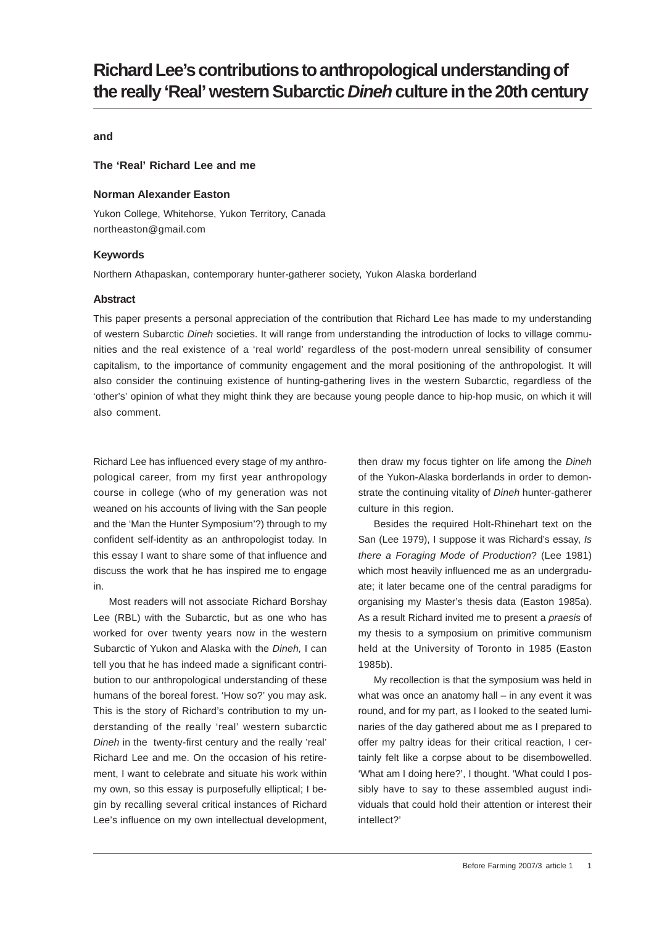# **Richard Lee's contributions to anthropological understanding of the really 'Real' western Subarctic** *Dineh* **culture in the 20th century**

### **and**

## **The 'Real' Richard Lee and me**

### **Norman Alexander Easton**

Yukon College, Whitehorse, Yukon Territory, Canada northeaston@gmail.com

#### **Keywords**

Northern Athapaskan, contemporary hunter-gatherer society, Yukon Alaska borderland

#### **Abstract**

This paper presents a personal appreciation of the contribution that Richard Lee has made to my understanding of western Subarctic *Dineh* societies. It will range from understanding the introduction of locks to village communities and the real existence of a 'real world' regardless of the post-modern unreal sensibility of consumer capitalism, to the importance of community engagement and the moral positioning of the anthropologist. It will also consider the continuing existence of hunting-gathering lives in the western Subarctic, regardless of the 'other's' opinion of what they might think they are because young people dance to hip-hop music, on which it will also comment.

Richard Lee has influenced every stage of my anthropological career, from my first year anthropology course in college (who of my generation was not weaned on his accounts of living with the San people and the 'Man the Hunter Symposium'?) through to my confident self-identity as an anthropologist today. In this essay I want to share some of that influence and discuss the work that he has inspired me to engage in.

Most readers will not associate Richard Borshay Lee (RBL) with the Subarctic, but as one who has worked for over twenty years now in the western Subarctic of Yukon and Alaska with the *Dineh,* I can tell you that he has indeed made a significant contribution to our anthropological understanding of these humans of the boreal forest. 'How so?' you may ask. This is the story of Richard's contribution to my understanding of the really 'real' western subarctic *Dineh* in the twenty-first century and the really 'real' Richard Lee and me. On the occasion of his retirement, I want to celebrate and situate his work within my own, so this essay is purposefully elliptical; I begin by recalling several critical instances of Richard Lee's influence on my own intellectual development,

then draw my focus tighter on life among the *Dineh* of the Yukon-Alaska borderlands in order to demonstrate the continuing vitality of *Dineh* hunter-gatherer culture in this region.

Besides the required Holt-Rhinehart text on the San (Lee 1979), I suppose it was Richard's essay, *Is there a Foraging Mode of Production*? (Lee 1981) which most heavily influenced me as an undergraduate; it later became one of the central paradigms for organising my Master's thesis data (Easton 1985a). As a result Richard invited me to present a *praesis* of my thesis to a symposium on primitive communism held at the University of Toronto in 1985 (Easton 1985b).

My recollection is that the symposium was held in what was once an anatomy hall – in any event it was round, and for my part, as I looked to the seated luminaries of the day gathered about me as I prepared to offer my paltry ideas for their critical reaction, I certainly felt like a corpse about to be disembowelled. 'What am I doing here?', I thought. 'What could I possibly have to say to these assembled august individuals that could hold their attention or interest their intellect?'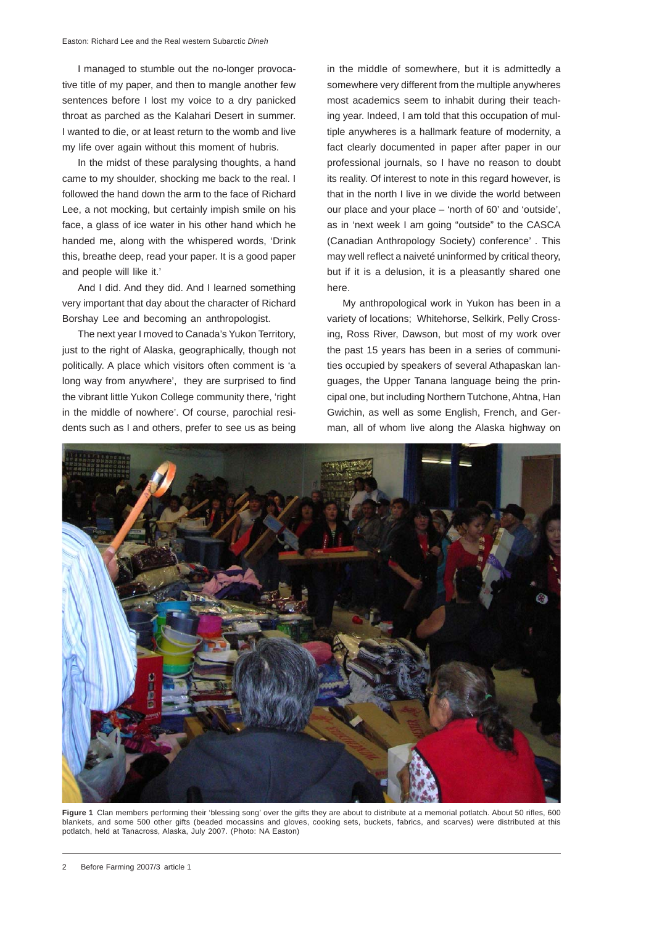I managed to stumble out the no-longer provocative title of my paper, and then to mangle another few sentences before I lost my voice to a dry panicked throat as parched as the Kalahari Desert in summer. I wanted to die, or at least return to the womb and live my life over again without this moment of hubris.

In the midst of these paralysing thoughts, a hand came to my shoulder, shocking me back to the real. I followed the hand down the arm to the face of Richard Lee, a not mocking, but certainly impish smile on his face, a glass of ice water in his other hand which he handed me, along with the whispered words, 'Drink this, breathe deep, read your paper. It is a good paper and people will like it.'

And I did. And they did. And I learned something very important that day about the character of Richard Borshay Lee and becoming an anthropologist.

The next year I moved to Canada's Yukon Territory, just to the right of Alaska, geographically, though not politically. A place which visitors often comment is 'a long way from anywhere', they are surprised to find the vibrant little Yukon College community there, 'right in the middle of nowhere'. Of course, parochial residents such as I and others, prefer to see us as being in the middle of somewhere, but it is admittedly a somewhere very different from the multiple anywheres most academics seem to inhabit during their teaching year. Indeed, I am told that this occupation of multiple anywheres is a hallmark feature of modernity, a fact clearly documented in paper after paper in our professional journals, so I have no reason to doubt its reality. Of interest to note in this regard however, is that in the north I live in we divide the world between our place and your place – 'north of 60' and 'outside', as in 'next week I am going "outside" to the CASCA (Canadian Anthropology Society) conference' . This may well reflect a naiveté uninformed by critical theory, but if it is a delusion, it is a pleasantly shared one here.

My anthropological work in Yukon has been in a variety of locations; Whitehorse, Selkirk, Pelly Crossing, Ross River, Dawson, but most of my work over the past 15 years has been in a series of communities occupied by speakers of several Athapaskan languages, the Upper Tanana language being the principal one, but including Northern Tutchone, Ahtna, Han Gwichin, as well as some English, French, and German, all of whom live along the Alaska highway on



**Figure 1** Clan members performing their 'blessing song' over the gifts they are about to distribute at a memorial potlatch. About 50 rifles, 600 blankets, and some 500 other gifts (beaded mocassins and gloves, cooking sets, buckets, fabrics, and scarves) were distributed at this potlatch, held at Tanacross, Alaska, July 2007. (Photo: NA Easton)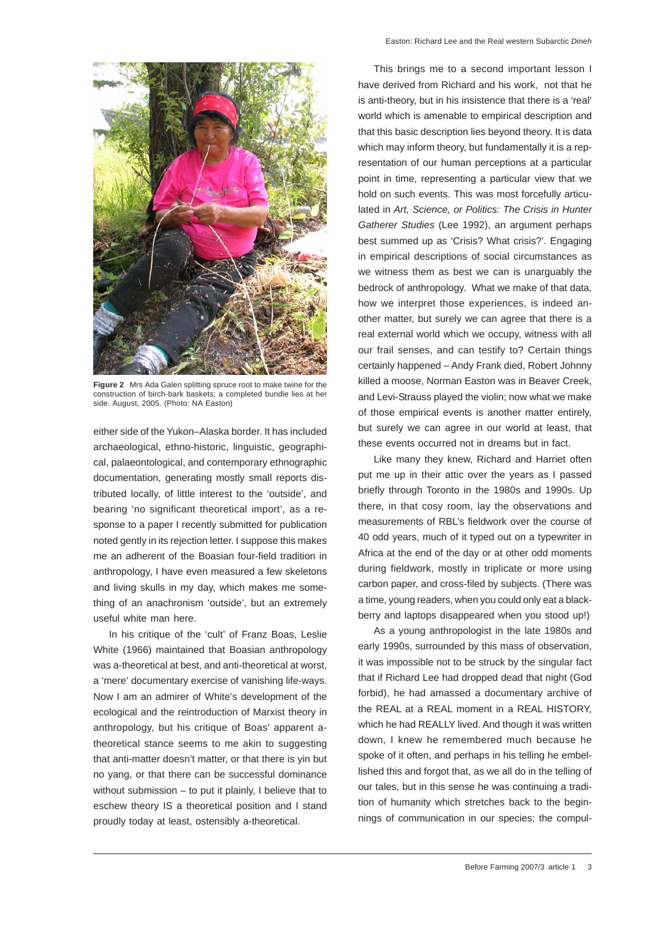

**Figure 2** Mrs Ada Galen splitting spruce root to make twine for the construction of birch-bark baskets; a completed bundle lies at her side. August, 2005. (Photo: NA Easton)

either side of the Yukon–Alaska border. It has included archaeological, ethno-historic, linguistic, geographical, palaeontological, and contemporary ethnographic documentation, generating mostly small reports distributed locally, of little interest to the 'outside', and bearing 'no significant theoretical import', as a response to a paper I recently submitted for publication noted gently in its rejection letter. I suppose this makes me an adherent of the Boasian four-field tradition in anthropology, I have even measured a few skeletons and living skulls in my day, which makes me something of an anachronism 'outside', but an extremely useful white man here.

In his critique of the 'cult' of Franz Boas, Leslie White (1966) maintained that Boasian anthropology was a-theoretical at best, and anti-theoretical at worst, a 'mere' documentary exercise of vanishing life-ways. Now I am an admirer of White's development of the ecological and the reintroduction of Marxist theory in anthropology, but his critique of Boas' apparent atheoretical stance seems to me akin to suggesting that anti-matter doesn't matter, or that there is yin but no yang, or that there can be successful dominance without submission – to put it plainly, I believe that to eschew theory IS a theoretical position and I stand proudly today at least, ostensibly a-theoretical.

This brings me to a second important lesson I have derived from Richard and his work, not that he is anti-theory, but in his insistence that there is a 'real' world which is amenable to empirical description and that this basic description lies beyond theory. It is data which may inform theory, but fundamentally it is a representation of our human perceptions at a particular point in time, representing a particular view that we hold on such events. This was most forcefully articulated in *Art, Science, or Politics: The Crisis in Hunter Gatherer Studies* (Lee 1992), an argument perhaps best summed up as 'Crisis? What crisis?'. Engaging in empirical descriptions of social circumstances as we witness them as best we can is unarguably the bedrock of anthropology. What we make of that data, how we interpret those experiences, is indeed another matter, but surely we can agree that there is a real external world which we occupy, witness with all our frail senses, and can testify to? Certain things certainly happened – Andy Frank died, Robert Johnny killed a moose, Norman Easton was in Beaver Creek, and Levi-Strauss played the violin; now what we make of those empirical events is another matter entirely, but surely we can agree in our world at least, that these events occurred not in dreams but in fact.

Like many they knew, Richard and Harriet often put me up in their attic over the years as I passed briefly through Toronto in the 1980s and 1990s. Up there, in that cosy room, lay the observations and measurements of RBL's fieldwork over the course of 40 odd years, much of it typed out on a typewriter in Africa at the end of the day or at other odd moments during fieldwork, mostly in triplicate or more using carbon paper, and cross-filed by subjects. (There was a time, young readers, when you could only eat a blackberry and laptops disappeared when you stood up!)

As a young anthropologist in the late 1980s and early 1990s, surrounded by this mass of observation, it was impossible not to be struck by the singular fact that if Richard Lee had dropped dead that night (God forbid), he had amassed a documentary archive of the REAL at a REAL moment in a REAL HISTORY, which he had REALLY lived. And though it was written down, I knew he remembered much because he spoke of it often, and perhaps in his telling he embellished this and forgot that, as we all do in the telling of our tales, but in this sense he was continuing a tradition of humanity which stretches back to the beginnings of communication in our species; the compul-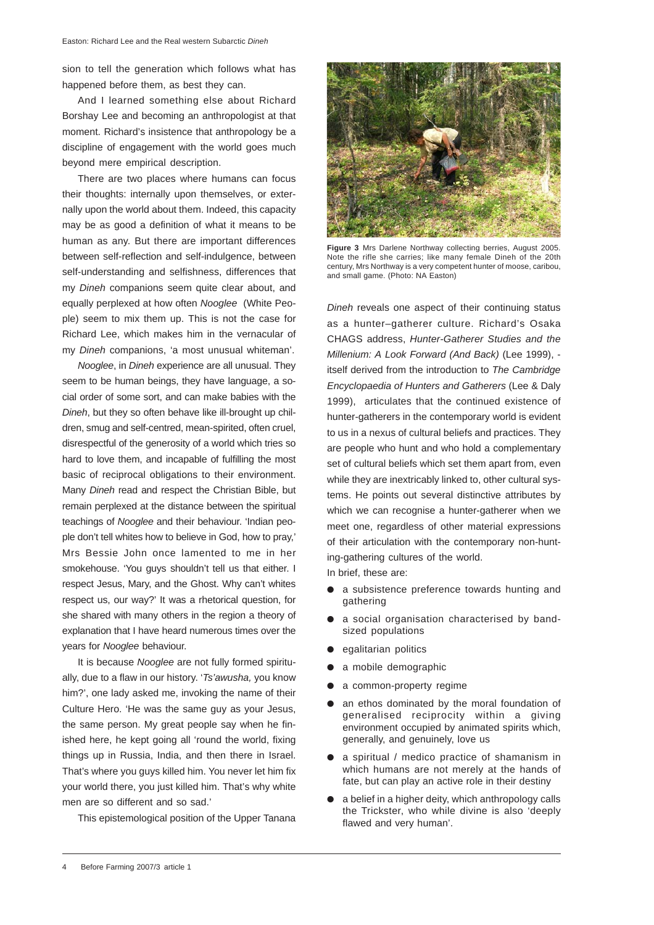sion to tell the generation which follows what has happened before them, as best they can.

And I learned something else about Richard Borshay Lee and becoming an anthropologist at that moment. Richard's insistence that anthropology be a discipline of engagement with the world goes much beyond mere empirical description.

There are two places where humans can focus their thoughts: internally upon themselves, or externally upon the world about them. Indeed, this capacity may be as good a definition of what it means to be human as any. But there are important differences between self-reflection and self-indulgence, between self-understanding and selfishness, differences that my *Dineh* companions seem quite clear about, and equally perplexed at how often *Nooglee* (White People) seem to mix them up. This is not the case for Richard Lee, which makes him in the vernacular of my *Dineh* companions, 'a most unusual whiteman'.

*Nooglee*, in *Dineh* experience are all unusual. They seem to be human beings, they have language, a social order of some sort, and can make babies with the *Dineh*, but they so often behave like ill-brought up children, smug and self-centred, mean-spirited, often cruel, disrespectful of the generosity of a world which tries so hard to love them, and incapable of fulfilling the most basic of reciprocal obligations to their environment. Many *Dineh* read and respect the Christian Bible, but remain perplexed at the distance between the spiritual teachings of *Nooglee* and their behaviour. 'Indian people don't tell whites how to believe in God, how to pray,' Mrs Bessie John once lamented to me in her smokehouse. 'You guys shouldn't tell us that either. I respect Jesus, Mary, and the Ghost. Why can't whites respect us, our way?' It was a rhetorical question, for she shared with many others in the region a theory of explanation that I have heard numerous times over the years for *Nooglee* behaviour.

It is because *Nooglee* are not fully formed spiritually, due to a flaw in our history. '*Ts'awusha,* you know him?', one lady asked me, invoking the name of their Culture Hero. 'He was the same guy as your Jesus, the same person. My great people say when he finished here, he kept going all 'round the world, fixing things up in Russia, India, and then there in Israel. That's where you guys killed him. You never let him fix your world there, you just killed him. That's why white men are so different and so sad.'

This epistemological position of the Upper Tanana



**Figure 3** Mrs Darlene Northway collecting berries, August 2005. Note the rifle she carries; like many female Dineh of the 20th century, Mrs Northway is a very competent hunter of moose, caribou, and small game. (Photo: NA Easton)

*Dineh* reveals one aspect of their continuing status as a hunter–gatherer culture. Richard's Osaka CHAGS address, *Hunter-Gatherer Studies and the Millenium: A Look Forward (And Back)* (Lee 1999), itself derived from the introduction to *The Cambridge Encyclopaedia of Hunters and Gatherers* (Lee & Daly 1999), articulates that the continued existence of hunter-gatherers in the contemporary world is evident to us in a nexus of cultural beliefs and practices. They are people who hunt and who hold a complementary set of cultural beliefs which set them apart from, even while they are inextricably linked to, other cultural systems. He points out several distinctive attributes by which we can recognise a hunter-gatherer when we meet one, regardless of other material expressions of their articulation with the contemporary non-hunting-gathering cultures of the world.

In brief, these are:

- a subsistence preference towards hunting and gathering
- a social organisation characterised by bandsized populations
- $\bullet$  egalitarian politics
- a mobile demographic
- a common-property regime
- an ethos dominated by the moral foundation of generalised reciprocity within a giving environment occupied by animated spirits which, generally, and genuinely, love us
- a spiritual / medico practice of shamanism in which humans are not merely at the hands of fate, but can play an active role in their destiny
- a belief in a higher deity, which anthropology calls the Trickster, who while divine is also 'deeply flawed and very human'.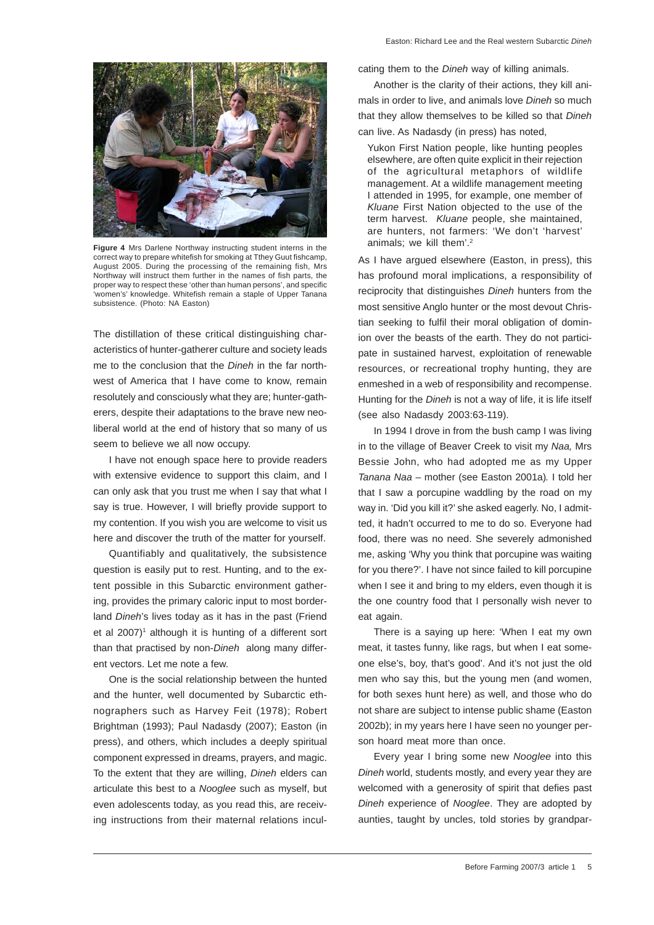

**Figure 4** Mrs Darlene Northway instructing student interns in the correct way to prepare whitefish for smoking at Tthey Guut fishcamp, August 2005. During the processing of the remaining fish, Mrs Northway will instruct them further in the names of fish parts, the proper way to respect these 'other than human persons', and specific 'women's' knowledge. Whitefish remain a staple of Upper Tanana subsistence. (Photo: NA Easton)

The distillation of these critical distinguishing characteristics of hunter-gatherer culture and society leads me to the conclusion that the *Dineh* in the far northwest of America that I have come to know, remain resolutely and consciously what they are; hunter-gatherers, despite their adaptations to the brave new neoliberal world at the end of history that so many of us seem to believe we all now occupy.

I have not enough space here to provide readers with extensive evidence to support this claim, and I can only ask that you trust me when I say that what I say is true. However, I will briefly provide support to my contention. If you wish you are welcome to visit us here and discover the truth of the matter for yourself.

Quantifiably and qualitatively, the subsistence question is easily put to rest. Hunting, and to the extent possible in this Subarctic environment gathering, provides the primary caloric input to most borderland *Dineh*'s lives today as it has in the past (Friend et al 2007)<sup>1</sup> although it is hunting of a different sort than that practised by non-*Dineh* along many different vectors. Let me note a few.

One is the social relationship between the hunted and the hunter, well documented by Subarctic ethnographers such as Harvey Feit (1978); Robert Brightman (1993); Paul Nadasdy (2007); Easton (in press), and others, which includes a deeply spiritual component expressed in dreams, prayers, and magic. To the extent that they are willing, *Dineh* elders can articulate this best to a *Nooglee* such as myself, but even adolescents today, as you read this, are receiving instructions from their maternal relations inculcating them to the *Dineh* way of killing animals.

Another is the clarity of their actions, they kill animals in order to live, and animals love *Dineh* so much that they allow themselves to be killed so that *Dineh* can live. As Nadasdy (in press) has noted,

Yukon First Nation people, like hunting peoples elsewhere, are often quite explicit in their rejection of the agricultural metaphors of wildlife management. At a wildlife management meeting I attended in 1995, for example, one member of *Kluane* First Nation objected to the use of the term harvest. *Kluane* people, she maintained, are hunters, not farmers: 'We don't 'harvest' animals; we kill them'.2

As I have argued elsewhere (Easton, in press), this has profound moral implications, a responsibility of reciprocity that distinguishes *Dineh* hunters from the most sensitive Anglo hunter or the most devout Christian seeking to fulfil their moral obligation of dominion over the beasts of the earth. They do not participate in sustained harvest, exploitation of renewable resources, or recreational trophy hunting, they are enmeshed in a web of responsibility and recompense. Hunting for the *Dineh* is not a way of life, it is life itself (see also Nadasdy 2003:63-119).

In 1994 I drove in from the bush camp I was living in to the village of Beaver Creek to visit my *Naa,* Mrs Bessie John, who had adopted me as my Upper *Tanana Naa* – mother (see Easton 2001a)*.* I told her that I saw a porcupine waddling by the road on my way in. 'Did you kill it?' she asked eagerly. No, I admitted, it hadn't occurred to me to do so. Everyone had food, there was no need. She severely admonished me, asking 'Why you think that porcupine was waiting for you there?'. I have not since failed to kill porcupine when I see it and bring to my elders, even though it is the one country food that I personally wish never to eat again.

There is a saying up here: 'When I eat my own meat, it tastes funny, like rags, but when I eat someone else's, boy, that's good'. And it's not just the old men who say this, but the young men (and women, for both sexes hunt here) as well, and those who do not share are subject to intense public shame (Easton 2002b); in my years here I have seen no younger person hoard meat more than once.

Every year I bring some new *Nooglee* into this *Dineh* world, students mostly, and every year they are welcomed with a generosity of spirit that defies past *Dineh* experience of *Nooglee*. They are adopted by aunties, taught by uncles, told stories by grandpar-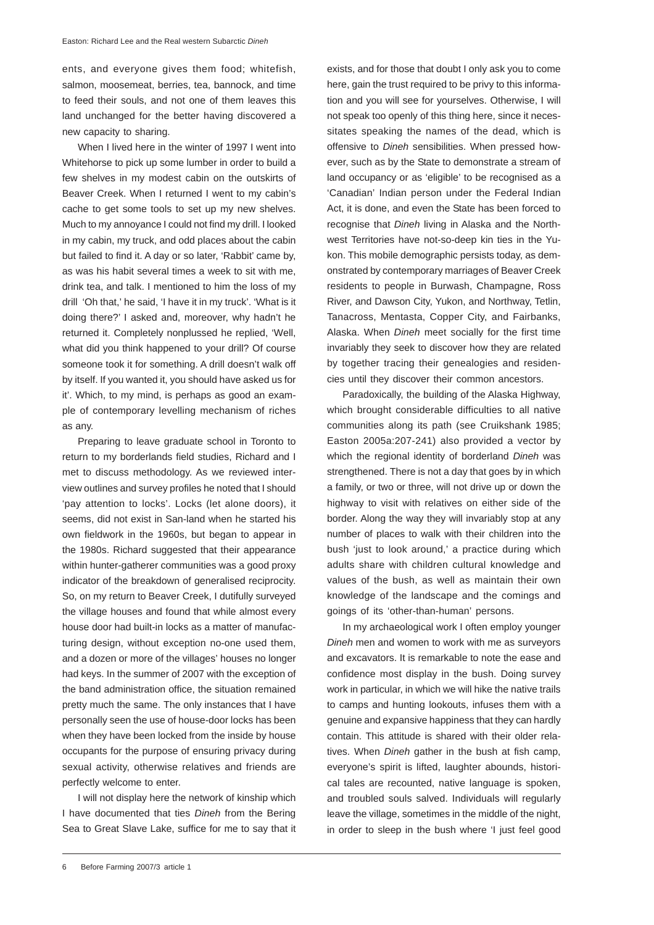ents, and everyone gives them food; whitefish, salmon, moosemeat, berries, tea, bannock, and time to feed their souls, and not one of them leaves this land unchanged for the better having discovered a new capacity to sharing.

When I lived here in the winter of 1997 I went into Whitehorse to pick up some lumber in order to build a few shelves in my modest cabin on the outskirts of Beaver Creek. When I returned I went to my cabin's cache to get some tools to set up my new shelves. Much to my annoyance I could not find my drill. I looked in my cabin, my truck, and odd places about the cabin but failed to find it. A day or so later, 'Rabbit' came by, as was his habit several times a week to sit with me, drink tea, and talk. I mentioned to him the loss of my drill 'Oh that,' he said, 'I have it in my truck'. 'What is it doing there?' I asked and, moreover, why hadn't he returned it. Completely nonplussed he replied, 'Well, what did you think happened to your drill? Of course someone took it for something. A drill doesn't walk off by itself. If you wanted it, you should have asked us for it'. Which, to my mind, is perhaps as good an example of contemporary levelling mechanism of riches as any.

Preparing to leave graduate school in Toronto to return to my borderlands field studies, Richard and I met to discuss methodology. As we reviewed interview outlines and survey profiles he noted that I should 'pay attention to locks'. Locks (let alone doors), it seems, did not exist in San-land when he started his own fieldwork in the 1960s, but began to appear in the 1980s. Richard suggested that their appearance within hunter-gatherer communities was a good proxy indicator of the breakdown of generalised reciprocity. So, on my return to Beaver Creek, I dutifully surveyed the village houses and found that while almost every house door had built-in locks as a matter of manufacturing design, without exception no-one used them, and a dozen or more of the villages' houses no longer had keys. In the summer of 2007 with the exception of the band administration office, the situation remained pretty much the same. The only instances that I have personally seen the use of house-door locks has been when they have been locked from the inside by house occupants for the purpose of ensuring privacy during sexual activity, otherwise relatives and friends are perfectly welcome to enter.

I will not display here the network of kinship which I have documented that ties *Dineh* from the Bering Sea to Great Slave Lake, suffice for me to say that it exists, and for those that doubt I only ask you to come here, gain the trust required to be privy to this information and you will see for yourselves. Otherwise, I will not speak too openly of this thing here, since it necessitates speaking the names of the dead, which is offensive to *Dineh* sensibilities. When pressed however, such as by the State to demonstrate a stream of land occupancy or as 'eligible' to be recognised as a 'Canadian' Indian person under the Federal Indian Act, it is done, and even the State has been forced to recognise that *Dineh* living in Alaska and the Northwest Territories have not-so-deep kin ties in the Yukon. This mobile demographic persists today, as demonstrated by contemporary marriages of Beaver Creek residents to people in Burwash, Champagne, Ross River, and Dawson City, Yukon, and Northway, Tetlin, Tanacross, Mentasta, Copper City, and Fairbanks, Alaska. When *Dineh* meet socially for the first time invariably they seek to discover how they are related by together tracing their genealogies and residencies until they discover their common ancestors.

Paradoxically, the building of the Alaska Highway, which brought considerable difficulties to all native communities along its path (see Cruikshank 1985; Easton 2005a:207-241) also provided a vector by which the regional identity of borderland *Dineh* was strengthened. There is not a day that goes by in which a family, or two or three, will not drive up or down the highway to visit with relatives on either side of the border. Along the way they will invariably stop at any number of places to walk with their children into the bush 'just to look around,' a practice during which adults share with children cultural knowledge and values of the bush, as well as maintain their own knowledge of the landscape and the comings and goings of its 'other-than-human' persons.

In my archaeological work I often employ younger *Dineh* men and women to work with me as surveyors and excavators. It is remarkable to note the ease and confidence most display in the bush. Doing survey work in particular, in which we will hike the native trails to camps and hunting lookouts, infuses them with a genuine and expansive happiness that they can hardly contain. This attitude is shared with their older relatives. When *Dineh* gather in the bush at fish camp, everyone's spirit is lifted, laughter abounds, historical tales are recounted, native language is spoken, and troubled souls salved. Individuals will regularly leave the village, sometimes in the middle of the night, in order to sleep in the bush where 'I just feel good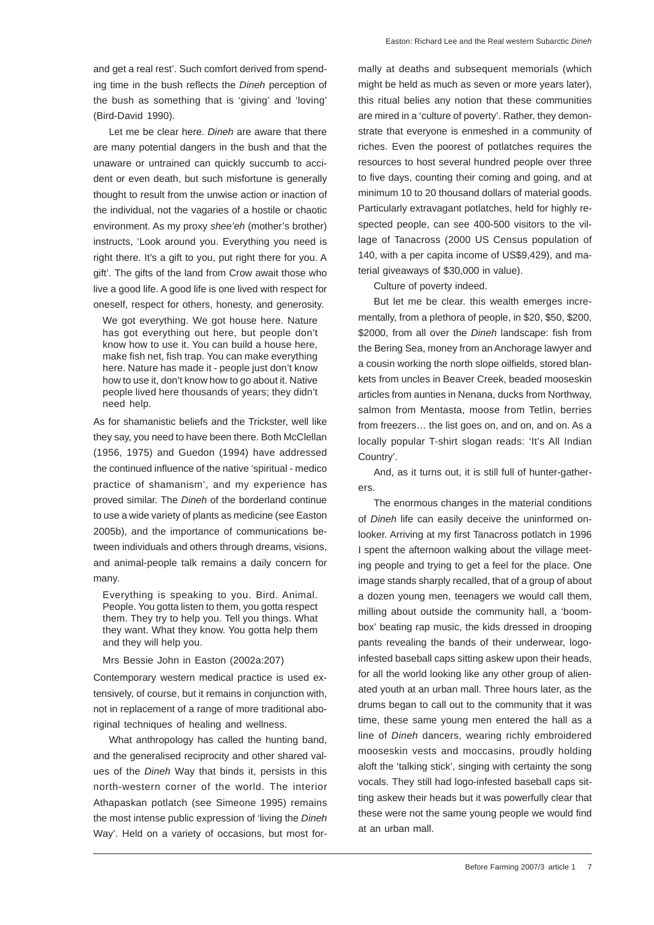and get a real rest'. Such comfort derived from spending time in the bush reflects the *Dineh* perception of the bush as something that is 'giving' and 'loving' (Bird-David 1990).

Let me be clear here. *Dineh* are aware that there are many potential dangers in the bush and that the unaware or untrained can quickly succumb to accident or even death, but such misfortune is generally thought to result from the unwise action or inaction of the individual, not the vagaries of a hostile or chaotic environment. As my proxy *shee'eh* (mother's brother) instructs, 'Look around you. Everything you need is right there. It's a gift to you, put right there for you. A gift'. The gifts of the land from Crow await those who live a good life. A good life is one lived with respect for oneself, respect for others, honesty, and generosity.

We got everything. We got house here. Nature has got everything out here, but people don't know how to use it. You can build a house here, make fish net, fish trap. You can make everything here. Nature has made it - people just don't know how to use it, don't know how to go about it. Native people lived here thousands of years; they didn't need help.

As for shamanistic beliefs and the Trickster, well like they say, you need to have been there. Both McClellan (1956, 1975) and Guedon (1994) have addressed the continued influence of the native 'spiritual - medico practice of shamanism', and my experience has proved similar. The *Dineh* of the borderland continue to use a wide variety of plants as medicine (see Easton 2005b), and the importance of communications between individuals and others through dreams, visions, and animal-people talk remains a daily concern for many.

Everything is speaking to you. Bird. Animal. People. You gotta listen to them, you gotta respect them. They try to help you. Tell you things. What they want. What they know. You gotta help them and they will help you.

#### Mrs Bessie John in Easton (2002a:207)

Contemporary western medical practice is used extensively, of course, but it remains in conjunction with, not in replacement of a range of more traditional aboriginal techniques of healing and wellness.

What anthropology has called the hunting band, and the generalised reciprocity and other shared values of the *Dineh* Way that binds it, persists in this north-western corner of the world. The interior Athapaskan potlatch (see Simeone 1995) remains the most intense public expression of 'living the *Dineh* Way'. Held on a variety of occasions, but most formally at deaths and subsequent memorials (which might be held as much as seven or more years later), this ritual belies any notion that these communities are mired in a 'culture of poverty'. Rather, they demonstrate that everyone is enmeshed in a community of riches. Even the poorest of potlatches requires the resources to host several hundred people over three to five days, counting their coming and going, and at minimum 10 to 20 thousand dollars of material goods. Particularly extravagant potlatches, held for highly respected people, can see 400-500 visitors to the village of Tanacross (2000 US Census population of 140, with a per capita income of US\$9,429), and material giveaways of \$30,000 in value).

Culture of poverty indeed.

But let me be clear. this wealth emerges incrementally, from a plethora of people, in \$20, \$50, \$200, \$2000, from all over the *Dineh* landscape: fish from the Bering Sea, money from an Anchorage lawyer and a cousin working the north slope oilfields, stored blankets from uncles in Beaver Creek, beaded mooseskin articles from aunties in Nenana, ducks from Northway, salmon from Mentasta, moose from Tetlin, berries from freezers… the list goes on, and on, and on. As a locally popular T-shirt slogan reads: 'It's All Indian Country'.

And, as it turns out, it is still full of hunter-gatherers.

The enormous changes in the material conditions of *Dineh* life can easily deceive the uninformed onlooker. Arriving at my first Tanacross potlatch in 1996 I spent the afternoon walking about the village meeting people and trying to get a feel for the place. One image stands sharply recalled, that of a group of about a dozen young men, teenagers we would call them, milling about outside the community hall, a 'boombox' beating rap music, the kids dressed in drooping pants revealing the bands of their underwear, logoinfested baseball caps sitting askew upon their heads, for all the world looking like any other group of alienated youth at an urban mall. Three hours later, as the drums began to call out to the community that it was time, these same young men entered the hall as a line of *Dineh* dancers, wearing richly embroidered mooseskin vests and moccasins, proudly holding aloft the 'talking stick', singing with certainty the song vocals. They still had logo-infested baseball caps sitting askew their heads but it was powerfully clear that these were not the same young people we would find at an urban mall.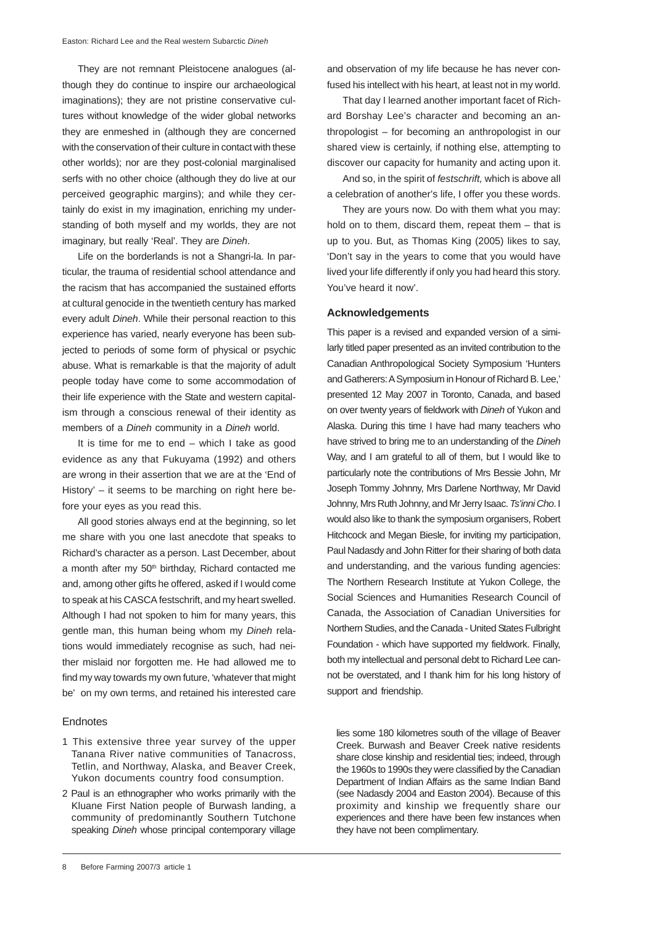They are not remnant Pleistocene analogues (although they do continue to inspire our archaeological imaginations); they are not pristine conservative cultures without knowledge of the wider global networks they are enmeshed in (although they are concerned with the conservation of their culture in contact with these other worlds); nor are they post-colonial marginalised serfs with no other choice (although they do live at our perceived geographic margins); and while they certainly do exist in my imagination, enriching my understanding of both myself and my worlds, they are not imaginary, but really 'Real'. They are *Dineh*.

Life on the borderlands is not a Shangri-la. In particular, the trauma of residential school attendance and the racism that has accompanied the sustained efforts at cultural genocide in the twentieth century has marked every adult *Dineh*. While their personal reaction to this experience has varied, nearly everyone has been subjected to periods of some form of physical or psychic abuse. What is remarkable is that the majority of adult people today have come to some accommodation of their life experience with the State and western capitalism through a conscious renewal of their identity as members of a *Dineh* community in a *Dineh* world.

It is time for me to end – which I take as good evidence as any that Fukuyama (1992) and others are wrong in their assertion that we are at the 'End of History' – it seems to be marching on right here before your eyes as you read this.

All good stories always end at the beginning, so let me share with you one last anecdote that speaks to Richard's character as a person. Last December, about a month after my 50<sup>th</sup> birthday, Richard contacted me and, among other gifts he offered, asked if I would come to speak at his CASCA festschrift, and my heart swelled. Although I had not spoken to him for many years, this gentle man, this human being whom my *Dineh* relations would immediately recognise as such, had neither mislaid nor forgotten me. He had allowed me to find my way towards my own future, 'whatever that might be' on my own terms, and retained his interested care

#### Endnotes

- 1 This extensive three year survey of the upper Tanana River native communities of Tanacross, Tetlin, and Northway, Alaska, and Beaver Creek, Yukon documents country food consumption.
- 2 Paul is an ethnographer who works primarily with the Kluane First Nation people of Burwash landing, a community of predominantly Southern Tutchone speaking *Dineh* whose principal contemporary village

and observation of my life because he has never confused his intellect with his heart, at least not in my world.

That day I learned another important facet of Richard Borshay Lee's character and becoming an anthropologist – for becoming an anthropologist in our shared view is certainly, if nothing else, attempting to discover our capacity for humanity and acting upon it.

And so, in the spirit of *festschrift,* which is above all a celebration of another's life, I offer you these words.

They are yours now. Do with them what you may: hold on to them, discard them, repeat them – that is up to you. But, as Thomas King (2005) likes to say, 'Don't say in the years to come that you would have lived your life differently if only you had heard this story. You've heard it now'.

#### **Acknowledgements**

This paper is a revised and expanded version of a similarly titled paper presented as an invited contribution to the Canadian Anthropological Society Symposium 'Hunters and Gatherers: A Symposium in Honour of Richard B. Lee,' presented 12 May 2007 in Toronto, Canada, and based on over twenty years of fieldwork with *Dineh* of Yukon and Alaska. During this time I have had many teachers who have strived to bring me to an understanding of the *Dineh* Way, and I am grateful to all of them, but I would like to particularly note the contributions of Mrs Bessie John, Mr Joseph Tommy Johnny, Mrs Darlene Northway, Mr David Johnny, Mrs Ruth Johnny, and Mr Jerry Isaac. *Ts'inni Cho*. I would also like to thank the symposium organisers, Robert Hitchcock and Megan Biesle, for inviting my participation, Paul Nadasdy and John Ritter for their sharing of both data and understanding, and the various funding agencies: The Northern Research Institute at Yukon College, the Social Sciences and Humanities Research Council of Canada, the Association of Canadian Universities for Northern Studies, and the Canada - United States Fulbright Foundation - which have supported my fieldwork. Finally, both my intellectual and personal debt to Richard Lee cannot be overstated, and I thank him for his long history of support and friendship.

lies some 180 kilometres south of the village of Beaver Creek. Burwash and Beaver Creek native residents share close kinship and residential ties; indeed, through the 1960s to 1990s they were classified by the Canadian Department of Indian Affairs as the same Indian Band (see Nadasdy 2004 and Easton 2004). Because of this proximity and kinship we frequently share our experiences and there have been few instances when they have not been complimentary.